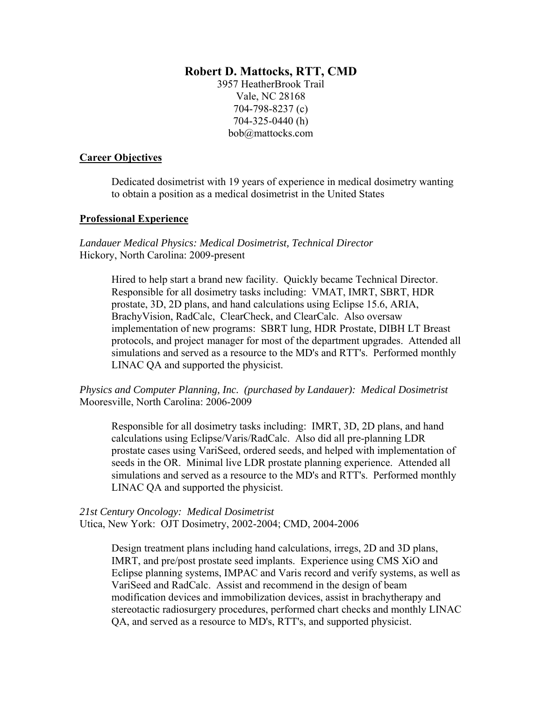## **Robert D. Mattocks, RTT, CMD**

3957 HeatherBrook Trail Vale, NC 28168 704-798-8237 (c) 704-325-0440 (h) bob@mattocks.com

## **Career Objectives**

Dedicated dosimetrist with 19 years of experience in medical dosimetry wanting to obtain a position as a medical dosimetrist in the United States

## **Professional Experience**

*Landauer Medical Physics: Medical Dosimetrist, Technical Director*  Hickory, North Carolina: 2009-present

> Hired to help start a brand new facility. Quickly became Technical Director. Responsible for all dosimetry tasks including: VMAT, IMRT, SBRT, HDR prostate, 3D, 2D plans, and hand calculations using Eclipse 15.6, ARIA, BrachyVision, RadCalc, ClearCheck, and ClearCalc. Also oversaw implementation of new programs: SBRT lung, HDR Prostate, DIBH LT Breast protocols, and project manager for most of the department upgrades. Attended all simulations and served as a resource to the MD's and RTT's. Performed monthly LINAC QA and supported the physicist.

# *Physics and Computer Planning, Inc. (purchased by Landauer): Medical Dosimetrist*  Mooresville, North Carolina: 2006-2009

 Responsible for all dosimetry tasks including: IMRT, 3D, 2D plans, and hand calculations using Eclipse/Varis/RadCalc. Also did all pre-planning LDR prostate cases using VariSeed, ordered seeds, and helped with implementation of seeds in the OR. Minimal live LDR prostate planning experience. Attended all simulations and served as a resource to the MD's and RTT's. Performed monthly LINAC QA and supported the physicist.

# *21st Century Oncology: Medical Dosimetrist*  Utica, New York: OJT Dosimetry, 2002-2004; CMD, 2004-2006

Design treatment plans including hand calculations, irregs, 2D and 3D plans, IMRT, and pre/post prostate seed implants. Experience using CMS XiO and Eclipse planning systems, IMPAC and Varis record and verify systems, as well as VariSeed and RadCalc. Assist and recommend in the design of beam modification devices and immobilization devices, assist in brachytherapy and stereotactic radiosurgery procedures, performed chart checks and monthly LINAC QA, and served as a resource to MD's, RTT's, and supported physicist.